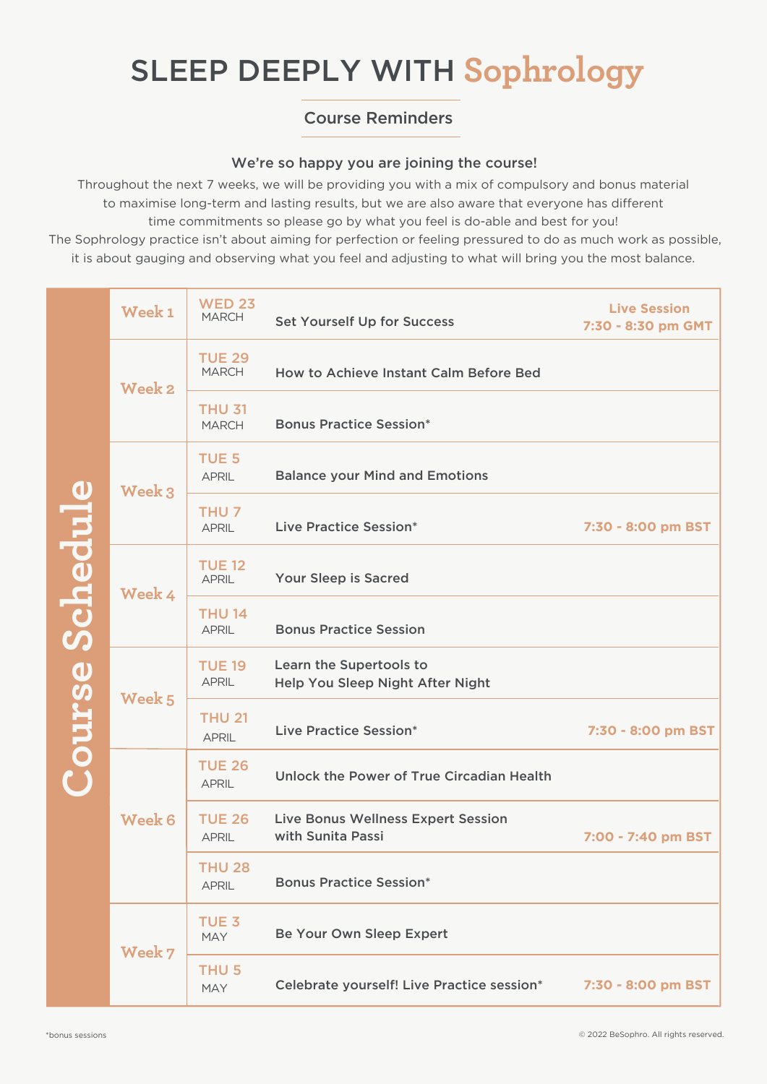# SLEEP DEEPLY WITH **Sophrology**

### Course Reminders

#### We're so happy you are joining the course!

Throughout the next 7 weeks, we will be providing you with a mix of compulsory and bonus material to maximise long-term and lasting results, but we are also aware that everyone has different time commitments so please go by what you feel is do-able and best for you! The Sophrology practice isn't about aiming for perfection or feeling pressured to do as much work as possible, it is about gauging and observing what you feel and adjusting to what will bring you the most balance.

| <b>Course Schedule</b> | Week <sub>1</sub> | <b>WED 23</b><br><b>MARCH</b>    | <b>Set Yourself Up for Success</b>                          | <b>Live Session</b><br>7:30 - 8:30 pm GMT |
|------------------------|-------------------|----------------------------------|-------------------------------------------------------------|-------------------------------------------|
|                        | <b>Week 2</b>     | <b>TUE 29</b><br><b>MARCH</b>    | How to Achieve Instant Calm Before Bed                      |                                           |
|                        |                   | <b>THU 31</b><br><b>MARCH</b>    | <b>Bonus Practice Session*</b>                              |                                           |
|                        | Week 3            | <b>TUE 5</b><br><b>APRIL</b>     | <b>Balance your Mind and Emotions</b>                       |                                           |
|                        |                   | THU <sub>7</sub><br><b>APRIL</b> | Live Practice Session*                                      | 7:30 - 8:00 pm BST                        |
|                        | Week 4            | <b>TUE 12</b><br><b>APRIL</b>    | Your Sleep is Sacred                                        |                                           |
|                        |                   | <b>THU 14</b><br><b>APRIL</b>    | <b>Bonus Practice Session</b>                               |                                           |
|                        | Week 5            | <b>TUE 19</b><br><b>APRIL</b>    | Learn the Supertools to<br>Help You Sleep Night After Night |                                           |
|                        |                   | <b>THU 21</b><br><b>APRIL</b>    | Live Practice Session*                                      | 7:30 - 8:00 pm BST                        |
|                        | <b>Week 6</b>     | <b>TUE 26</b><br><b>APRIL</b>    | Unlock the Power of True Circadian Health                   |                                           |
|                        |                   | <b>TUE 26</b><br><b>APRIL</b>    | Live Bonus Wellness Expert Session<br>with Sunita Passi     | 7:00 - 7:40 pm BST                        |
|                        |                   | <b>THU 28</b><br><b>APRIL</b>    | <b>Bonus Practice Session*</b>                              |                                           |
|                        | Week 7            | TUE <sub>3</sub><br><b>MAY</b>   | Be Your Own Sleep Expert                                    |                                           |
|                        |                   | THU <sub>5</sub><br><b>MAY</b>   | Celebrate yourself! Live Practice session*                  | 7:30 - 8:00 pm BST                        |